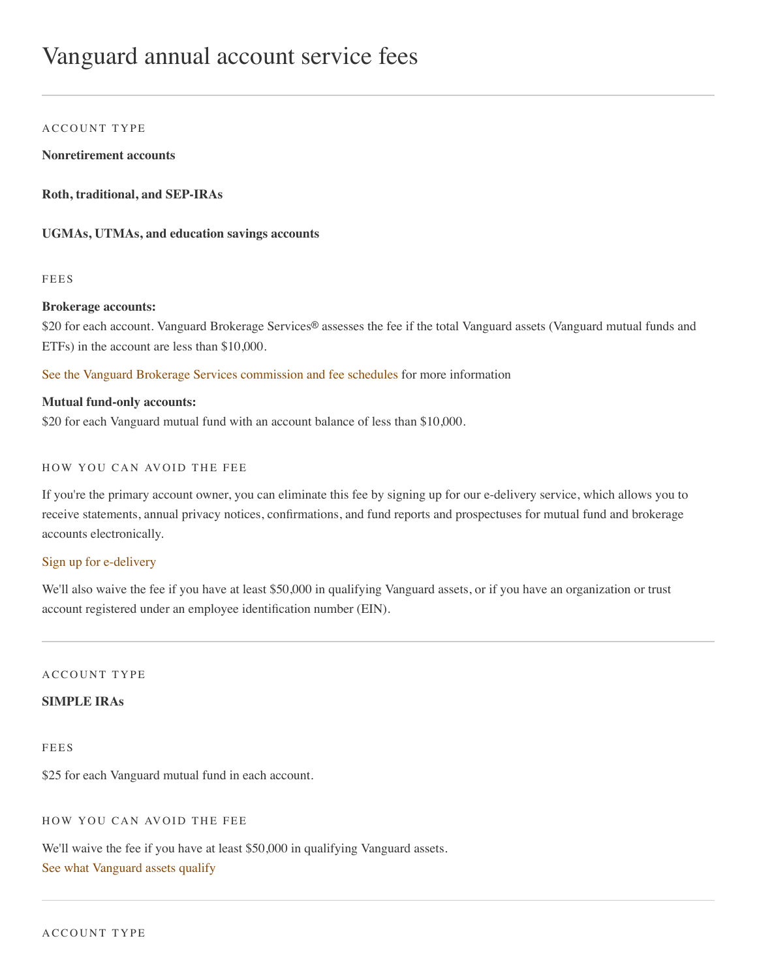# Vanguard annual account service fees

#### A CCOUNT TYPE

**Nonretirement accounts**

**Roth, traditional, and SEP-IRAs**

**UGMAs, UTMAs, and education savings accounts**

FEES

#### **Brokerage accounts:**

\$20 for each account. Vanguard Brokerage Services® assesses the fee if the total Vanguard assets (Vanguard mutual funds and ETFs) in the account are less than \$10,000.

[See the Vanguard Brokerage Services commission and fee schedules](https://investor.vanguard.com/investing/trading-fees-commissions) for more information

#### **Mutual fund-only accounts:**

\$20 for each Vanguard mutual fund with an account balance of less than \$10,000.

### HOW YOU CAN AVOID THE FEE

If you're the primary account owner, you can eliminate this fee by signing up for our e-delivery service, which allows you to receive statements, annual privacy notices, confirmations, and fund reports and prospectuses for mutual fund and brokerage accounts electronically.

#### [Sign up for e-delivery](https://personal.vanguard.com/us/faces/com/vanguard/mailingpreferences/WelcomeMailingPreferences.xhtml)

We'll also waive the fee if you have at least \$50,000 in qualifying Vanguard assets, or if you have an organization or trust account registered under an employee identification number (EIN).

ACCOUNT TYPE

### **SIMPLE IRAs**

FEES

\$25 for each Vanguard mutual fund in each account.

HOW YOU CAN AVOID THE FEE

We'll waive the fee if you have at least \$50,000 in qualifying Vanguard assets. [See what Vanguard assets qualify](https://investor.vanguard.com/investing/account-fees#layer1)